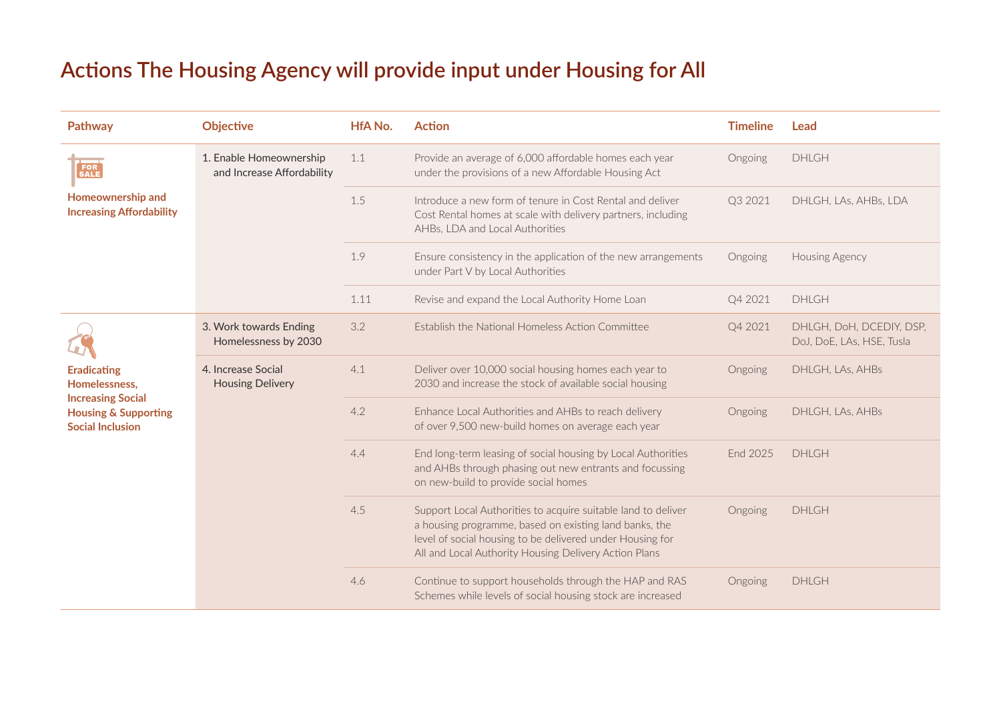## **Actions The Housing Agency will provide input under Housing for All**

| Pathway                                                                                | <b>Objective</b>                                      | <b>HfA No.</b> | <b>Action</b>                                                                                                                                                                                                                                 | <b>Timeline</b> | Lead                                                  |
|----------------------------------------------------------------------------------------|-------------------------------------------------------|----------------|-----------------------------------------------------------------------------------------------------------------------------------------------------------------------------------------------------------------------------------------------|-----------------|-------------------------------------------------------|
|                                                                                        | 1. Enable Homeownership<br>and Increase Affordability | 1.1            | Provide an average of 6,000 affordable homes each year<br>under the provisions of a new Affordable Housing Act                                                                                                                                | Ongoing         | <b>DHLGH</b>                                          |
| Homeownership and<br><b>Increasing Affordability</b>                                   |                                                       | 1.5            | Introduce a new form of tenure in Cost Rental and deliver<br>Cost Rental homes at scale with delivery partners, including<br>AHBs, LDA and Local Authorities                                                                                  | Q3 2021         | DHLGH, LAs, AHBs, LDA                                 |
|                                                                                        |                                                       | 1.9            | Ensure consistency in the application of the new arrangements<br>under Part V by Local Authorities                                                                                                                                            | Ongoing         | Housing Agency                                        |
|                                                                                        |                                                       | 1.11           | Revise and expand the Local Authority Home Loan                                                                                                                                                                                               | Q4 2021         | <b>DHLGH</b>                                          |
|                                                                                        | 3. Work towards Ending<br>Homelessness by 2030        | 3.2            | Establish the National Homeless Action Committee                                                                                                                                                                                              | Q4 2021         | DHLGH, DoH, DCEDIY, DSP,<br>DoJ, DoE, LAs, HSE, Tusla |
| <b>Eradicating</b><br>Homelessness,                                                    | 4. Increase Social<br><b>Housing Delivery</b>         | 4.1            | Deliver over 10,000 social housing homes each year to<br>2030 and increase the stock of available social housing                                                                                                                              | Ongoing         | DHLGH, LAs, AHBs                                      |
| <b>Increasing Social</b><br><b>Housing &amp; Supporting</b><br><b>Social Inclusion</b> |                                                       | 4.2            | Enhance Local Authorities and AHBs to reach delivery<br>of over 9,500 new-build homes on average each year                                                                                                                                    | Ongoing         | DHLGH, LAs, AHBs                                      |
|                                                                                        |                                                       | 4.4            | End long-term leasing of social housing by Local Authorities<br>and AHBs through phasing out new entrants and focussing<br>on new-build to provide social homes                                                                               | End 2025        | <b>DHLGH</b>                                          |
|                                                                                        |                                                       | 4.5            | Support Local Authorities to acquire suitable land to deliver<br>a housing programme, based on existing land banks, the<br>level of social housing to be delivered under Housing for<br>All and Local Authority Housing Delivery Action Plans | Ongoing         | <b>DHLGH</b>                                          |
|                                                                                        |                                                       | 4.6            | Continue to support households through the HAP and RAS<br>Schemes while levels of social housing stock are increased                                                                                                                          | Ongoing         | <b>DHLGH</b>                                          |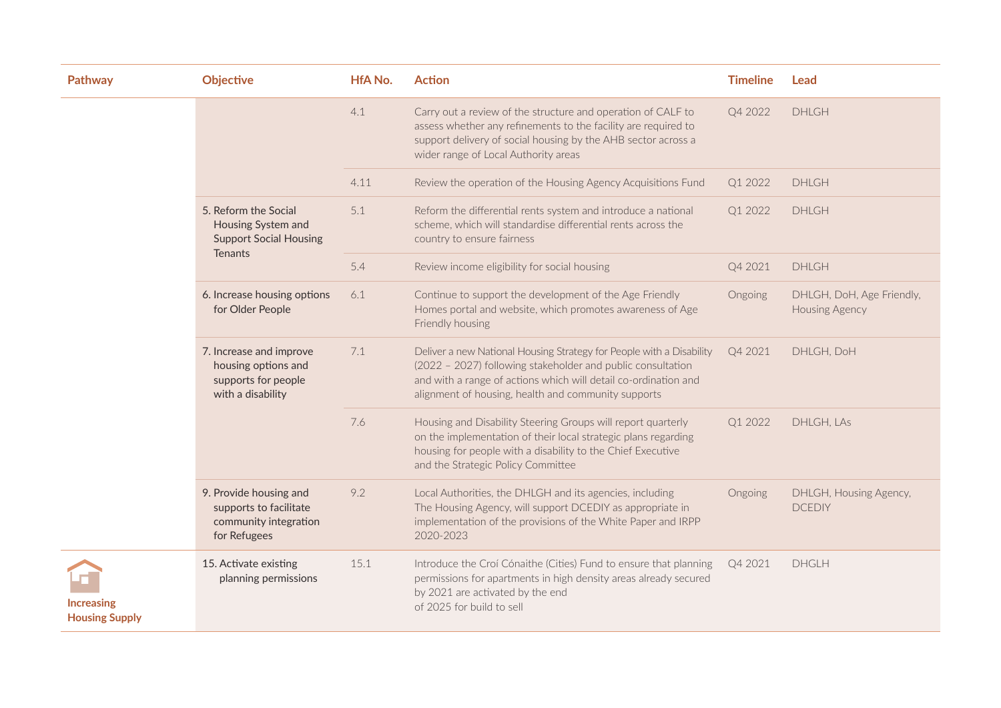| Pathway                                    | <b>Objective</b>                                                                              | <b>HfA No.</b> | <b>Action</b>                                                                                                                                                                                                                                                 | <b>Timeline</b> | Lead                                               |
|--------------------------------------------|-----------------------------------------------------------------------------------------------|----------------|---------------------------------------------------------------------------------------------------------------------------------------------------------------------------------------------------------------------------------------------------------------|-----------------|----------------------------------------------------|
|                                            |                                                                                               | 4.1            | Carry out a review of the structure and operation of CALF to<br>assess whether any refinements to the facility are required to<br>support delivery of social housing by the AHB sector across a<br>wider range of Local Authority areas                       | Q4 2022         | <b>DHLGH</b>                                       |
|                                            |                                                                                               | 4.11           | Review the operation of the Housing Agency Acquisitions Fund                                                                                                                                                                                                  | Q1 2022         | DHLGH                                              |
|                                            | 5. Reform the Social<br>Housing System and<br><b>Support Social Housing</b><br><b>Tenants</b> | 5.1            | Reform the differential rents system and introduce a national<br>scheme, which will standardise differential rents across the<br>country to ensure fairness                                                                                                   | Q1 2022         | <b>DHLGH</b>                                       |
|                                            |                                                                                               | 5.4            | Review income eligibility for social housing                                                                                                                                                                                                                  | Q4 2021         | <b>DHLGH</b>                                       |
|                                            | 6. Increase housing options<br>for Older People                                               | 6.1            | Continue to support the development of the Age Friendly<br>Homes portal and website, which promotes awareness of Age<br>Friendly housing                                                                                                                      | Ongoing         | DHLGH, DoH, Age Friendly,<br><b>Housing Agency</b> |
|                                            | 7. Increase and improve<br>housing options and<br>supports for people<br>with a disability    | 7.1            | Deliver a new National Housing Strategy for People with a Disability<br>(2022 - 2027) following stakeholder and public consultation<br>and with a range of actions which will detail co-ordination and<br>alignment of housing, health and community supports | Q4 2021         | DHLGH, DoH                                         |
|                                            |                                                                                               | 7.6            | Housing and Disability Steering Groups will report quarterly<br>on the implementation of their local strategic plans regarding<br>housing for people with a disability to the Chief Executive<br>and the Strategic Policy Committee                           | Q1 2022         | DHLGH, LAs                                         |
|                                            | 9. Provide housing and<br>supports to facilitate<br>community integration<br>for Refugees     | 9.2            | Local Authorities, the DHLGH and its agencies, including<br>The Housing Agency, will support DCEDIY as appropriate in<br>implementation of the provisions of the White Paper and IRPP<br>2020-2023                                                            | Ongoing         | DHLGH, Housing Agency,<br><b>DCEDIY</b>            |
| <b>Increasing</b><br><b>Housing Supply</b> | 15. Activate existing<br>planning permissions                                                 | 15.1           | Introduce the Croí Cónaithe (Cities) Fund to ensure that planning<br>permissions for apartments in high density areas already secured<br>by 2021 are activated by the end<br>of 2025 for build to sell                                                        | Q4 2021         | <b>DHGLH</b>                                       |